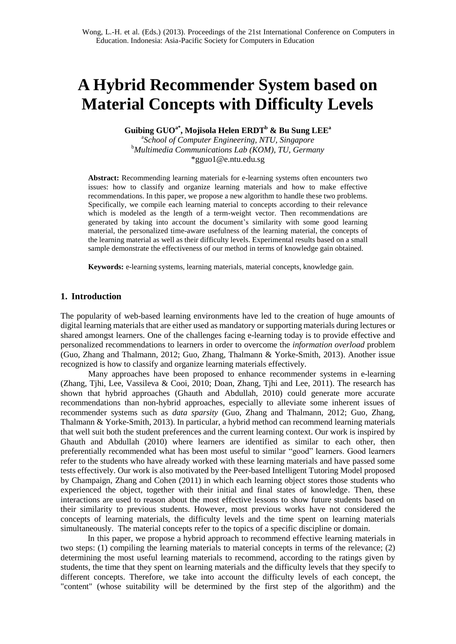Guibing Guo, Mojisola Helen Erdt, Bu Sung Lee: **A Hybrid Recommender System based on Material Concepts with Difficulty Levels.** In: Wong, L. - H. et al.: Proceedings of the 21st International Conference on Computers in Education, November 2013.

# **A Hybrid Recommender System based on Material Concepts with Difficulty Levels**

**Guibing GUOa\* , Mojisola Helen ERDT<sup>b</sup> & Bu Sung LEE<sup>a</sup>**

a *School of Computer Engineering, NTU, Singapore* <sup>b</sup>*Multimedia Communications Lab (KOM), TU, Germany* \*gguo1@e.ntu.edu.sg

**Abstract:** Recommending learning materials for e-learning systems often encounters two issues: how to classify and organize learning materials and how to make effective recommendations. In this paper, we propose a new algorithm to handle these two problems. Specifically, we compile each learning material to concepts according to their relevance which is modeled as the length of a term-weight vector. Then recommendations are generated by taking into account the document"s similarity with some good learning material, the personalized time-aware usefulness of the learning material, the concepts of the learning material as well as their difficulty levels. Experimental results based on a small sample demonstrate the effectiveness of our method in terms of knowledge gain obtained.

**Keywords:** e-learning systems, learning materials, material concepts, knowledge gain.

## **1. Introduction**

The popularity of web-based learning environments have led to the creation of huge amounts of digital learning materials that are either used as mandatory or supporting materials during lectures or shared amongst learners. One of the challenges facing e-learning today is to provide effective and personalized recommendations to learners in order to overcome the *information overload* problem (Guo, Zhang and Thalmann, 2012; Guo, Zhang, Thalmann & Yorke-Smith, 2013). Another issue recognized is how to classify and organize learning materials effectively.

Many approaches have been proposed to enhance recommender systems in e-learning (Zhang, Tjhi, Lee, Vassileva & Cooi, 2010; Doan, Zhang, Tjhi and Lee, 2011). The research has shown that hybrid approaches (Ghauth and Abdullah, 2010) could generate more accurate recommendations than non-hybrid approaches, especially to alleviate some inherent issues of recommender systems such as *data sparsity* (Guo, Zhang and Thalmann, 2012; Guo, Zhang, Thalmann & Yorke-Smith, 2013). In particular, a hybrid method can recommend learning materials that well suit both the student preferences and the current learning context. Our work is inspired by Ghauth and Abdullah (2010) where learners are identified as similar to each other, then preferentially recommended what has been most useful to similar "good" learners. Good learners refer to the students who have already worked with these learning materials and have passed some tests effectively. Our work is also motivated by the Peer-based Intelligent Tutoring Model proposed by Champaign, Zhang and Cohen (2011) in which each learning object stores those students who experienced the object, together with their initial and final states of knowledge. Then, these interactions are used to reason about the most effective lessons to show future students based on their similarity to previous students. However, most previous works have not considered the concepts of learning materials, the difficulty levels and the time spent on learning materials simultaneously. The material concepts refer to the topics of a specific discipline or domain.

In this paper, we propose a hybrid approach to recommend effective learning materials in two steps: (1) compiling the learning materials to material concepts in terms of the relevance; (2) determining the most useful learning materials to recommend, according to the ratings given by students, the time that they spent on learning materials and the difficulty levels that they specify to different concepts. Therefore, we take into account the difficulty levels of each concept, the "content" (whose suitability will be determined by the first step of the algorithm) and the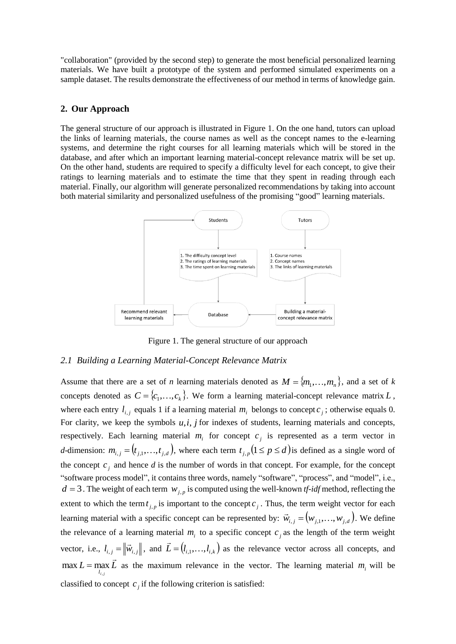"collaboration" (provided by the second step) to generate the most beneficial personalized learning materials. We have built a prototype of the system and performed simulated experiments on a sample dataset. The results demonstrate the effectiveness of our method in terms of knowledge gain.

## **2. Our Approach**

The general structure of our approach is illustrated in Figure 1. On the one hand, tutors can upload the links of learning materials, the course names as well as the concept names to the e-learning systems, and determine the right courses for all learning materials which will be stored in the database, and after which an important learning material-concept relevance matrix will be set up. On the other hand, students are required to specify a difficulty level for each concept, to give their ratings to learning materials and to estimate the time that they spent in reading through each material. Finally, our algorithm will generate personalized recommendations by taking into account both material similarity and personalized usefulness of the promising "good" learning materials.



Figure 1. The general structure of our approach

## *2.1 Building a Learning Material-Concept Relevance Matrix*

Assume that there are a set of *n* learning materials denoted as  $M = \{m_1, \ldots, m_n\}$ , and a set of *k* concepts denoted as  $C = \{c_1, \ldots, c_k\}$ . We form a learning material-concept relevance matrix L, where each entry  $l_{i,j}$  equals 1 if a learning material  $m_i$  belongs to concept  $c_j$ ; otherwise equals 0. For clarity, we keep the symbols  $u, i, j$  for indexes of students, learning materials and concepts, respectively. Each learning material  $m_i$  for concept  $c_j$  is represented as a term vector in *d*-dimension:  $m_{i,j} = (t_{j,1},...,t_{j,d})$ , where each term  $t_{j,p}$   $(1 \le p \le d)$  is defined as a single word of the concept  $c_j$  and hence *d* is the number of words in that concept. For example, for the concept "software process model", it contains three words, namely "software", "process", and "model", i.e.,  $d = 3$ . The weight of each term  $w_{j,p}$  is computed using the well-known *tf-idf* method, reflecting the extent to which the term  $t_{j,p}$  is important to the concept  $c_j$ . Thus, the term weight vector for each learning material with a specific concept can be represented by:  $\vec{w}_{i,j} = (w_{j,1},...,w_{j,d})$ . We define the relevance of a learning material  $m_i$  to a specific concept  $c_j$  as the length of the term weight vector, i.e.,  $l_{i,j} = ||\vec{w}_{i,j}||$  $=\left\| \vec{w}_{i,j} \right\|$ , and  $\vec{L} = (l_{i,1},...,l_{i,k})$  $\overline{a}$  $=(l_{i_1},...,l_{i_k})$  as the relevance vector across all concepts, and  $L = \max_{l_{i,j}} \bar{L}$ *i j*  $\rightarrow$ ,  $\max L = \max_{i} L$  as the maximum relevance in the vector. The learning material  $m_i$  will be classified to concept  $c_j$  if the following criterion is satisfied: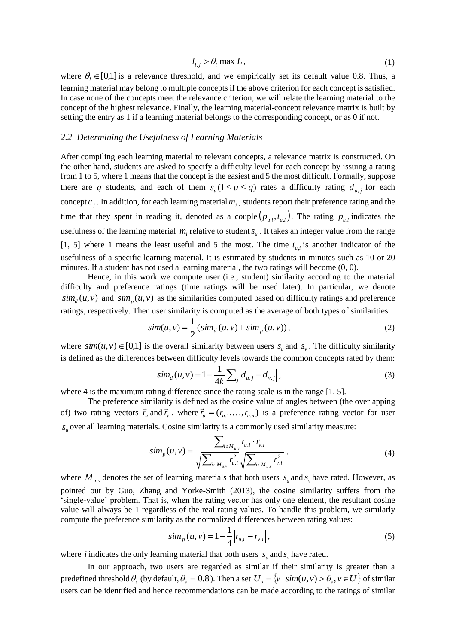$$
l_{i,j} > \theta_l \max L, \tag{1}
$$

where  $\theta_i \in [0,1]$  is a relevance threshold, and we empirically set its default value 0.8. Thus, a learning material may belong to multiple concepts if the above criterion for each concept is satisfied. In case none of the concepts meet the relevance criterion, we will relate the learning material to the concept of the highest relevance. Finally, the learning material-concept relevance matrix is built by setting the entry as 1 if a learning material belongs to the corresponding concept, or as 0 if not.

#### *2.2 Determining the Usefulness of Learning Materials*

After compiling each learning material to relevant concepts, a relevance matrix is constructed. On the other hand, students are asked to specify a difficulty level for each concept by issuing a rating from 1 to 5, where 1 means that the concept is the easiest and 5 the most difficult. Formally, suppose there are q students, and each of them  $s_u(1 \le u \le q)$  rates a difficulty rating  $d_{u,j}$  for each concept  $c_j$ . In addition, for each learning material  $m_i$ , students report their preference rating and the time that they spent in reading it, denoted as a couple  $(p_{u,i}, t_{u,i})$ . The rating  $p_{u,i}$  indicates the usefulness of the learning material  $m_i$  relative to student  $s_u$ . It takes an integer value from the range [1, 5] where 1 means the least useful and 5 the most. The time  $t_{u,i}$  is another indicator of the usefulness of a specific learning material. It is estimated by students in minutes such as 10 or 20 minutes. If a student has not used a learning material, the two ratings will become (0, 0).

Hence, in this work we compute user (i.e., student) similarity according to the material difficulty and preference ratings (time ratings will be used later). In particular, we denote  $\sin\left(\frac{u}{v}\right)$  and  $\sin\left(\frac{u}{v}\right)$  as the similarities computed based on difficulty ratings and preference ratings, respectively. Then user similarity is computed as the average of both types of similarities:

$$
sim(u, v) = \frac{1}{2} (sim_d(u, v) + sim_p(u, v)),
$$
\n(2)

where  $sim(u, v) \in [0,1]$  is the overall similarity between users  $s_u$  and  $s_v$ . The difficulty similarity is defined as the differences between difficulty levels towards the common concepts rated by them:

$$
sim_d(u, v) = 1 - \frac{1}{4k} \sum_{j} \left| d_{u,j} - d_{v,j} \right|,
$$
\n(3)

where 4 is the maximum rating difference since the rating scale is in the range [1, 5].

The preference similarity is defined as the cosine value of angles between (the overlapping of) two rating vectors  $\vec{r}_u$  and  $\vec{r}_v$ , where  $\vec{r}_u = (r_{u,1},...,r_{u,n})$  is a preference rating vector for user  $s<sub>u</sub>$  over all learning materials. Cosine similarity is a commonly used similarity measure:

$$
sim_p(u,v) = \frac{\sum_{i \in M_{u,v}} r_{u,i} \cdot r_{v,i}}{\sqrt{\sum_{i \in M_{u,v}} r_{u,i}^2} \sqrt{\sum_{i \in M_{u,v}} r_{v,i}^2}} ,
$$
\n(4)

where  $M_{u,v}$  denotes the set of learning materials that both users  $s_u$  and  $s_v$  have rated. However, as pointed out by Guo, Zhang and Yorke-Smith (2013), the cosine similarity suffers from the "single-value" problem. That is, when the rating vector has only one element, the resultant cosine value will always be 1 regardless of the real rating values. To handle this problem, we similarly compute the preference similarity as the normalized differences between rating values:

$$
sim_{p}(u,v) = 1 - \frac{1}{4} |r_{u,i} - r_{v,i}|,
$$
\n(5)

where *i* indicates the only learning material that both users  $s_u$  and  $s_v$  have rated.

In our approach, two users are regarded as similar if their similarity is greater than a predefined threshold  $\theta_s$  (by default,  $\theta_s = 0.8$ ). Then a set  $U_u = \{v \mid sim(u, v) > \theta_s, v \in U\}$  of similar users can be identified and hence recommendations can be made according to the ratings of similar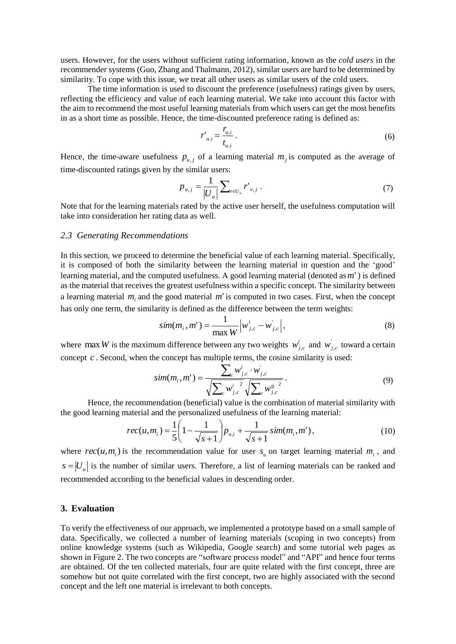users. However, for the users without sufficient rating information, known as the *cold users* in the recommender systems (Guo, Zhang and Thalmann, 2012), similar users are hard to be determined by similarity. To cope with this issue, we treat all other users as similar users of the cold users.

The time information is used to discount the preference (usefulness) ratings given by users, reflecting the efficiency and value of each learning material. We take into account this factor with the aim to recommend the most useful learning materials from which users can get the most benefits in as a short time as possible. Hence, the time-discounted preference rating is defined as:

$$
r'_{u,i} = \frac{r_{u,i}}{t_{u,i}}\,. \tag{6}
$$

Hence, the time-aware usefulness  $p_{u,j}$  of a learning material  $m_j$  is computed as the average of time-discounted ratings given by the similar users:

$$
p_{u,j} = \frac{1}{|U_u|} \sum_{v \in U_u} r'_{v,j} . \tag{7}
$$

Note that for the learning materials rated by the active user herself, the usefulness computation will take into consideration her rating data as well.

#### *2.3 Generating Recommendations*

In this section, we proceed to determine the beneficial value of each learning material. Specifically, it is composed of both the similarity between the learning material in question and the "good" learning material, and the computed usefulness. A good learning material (denoted as *m*' ) is defined as the material that receives the greatest usefulness within a specific concept. The similarity between a learning material  $m_i$  and the good material  $m'$  is computed in two cases. First, when the concept has only one term, the similarity is defined as the difference between the term weights:

$$
sim(m_i, m') = \frac{1}{\max W} |w_{j,c}' - w_{j,c}'|,
$$
\n(8)

where max *W* is the maximum difference between any two weights  $w^i_{j,c}$  and  $w^i_{j,c}$  toward a certain concept *c* . Second, when the concept has multiple terms, the cosine similarity is used:

$$
sim(m_i, m') = \frac{\sum_{c} w_{j,c}^{i} \cdot w_{j,c}}{\sqrt{\sum_{c} w_{j,c}^{i-2}} \sqrt{\sum_{c} w_{j,c}^{g-2}}}.
$$
\n(9)

Hence, the recommendation (beneficial) value is the combination of material similarity with the good learning material and the personalized usefulness of the learning material:

$$
rec(u, m_i) = \frac{1}{5} \left( 1 - \frac{1}{\sqrt{s+1}} \right) p_{u,i} + \frac{1}{\sqrt{s+1}} \, sim(m_i, m'), \tag{10}
$$

where  $rec(u, m<sub>i</sub>)$  is the recommendation value for user  $s<sub>u</sub>$  on target learning material  $m<sub>i</sub>$ , and  $s = |U_u|$  is the number of similar users. Therefore, a list of learning materials can be ranked and recommended according to the beneficial values in descending order.

## **3. Evaluation**

To verify the effectiveness of our approach, we implemented a prototype based on a small sample of data. Specifically, we collected a number of learning materials (scoping in two concepts) from online knowledge systems (such as Wikipedia, Google search) and some tutorial web pages as shown in Figure 2. The two concepts are "software process model" and "API" and hence four terms are obtained. Of the ten collected materials, four are quite related with the first concept, three are somehow but not quite correlated with the first concept, two are highly associated with the second concept and the left one material is irrelevant to both concepts.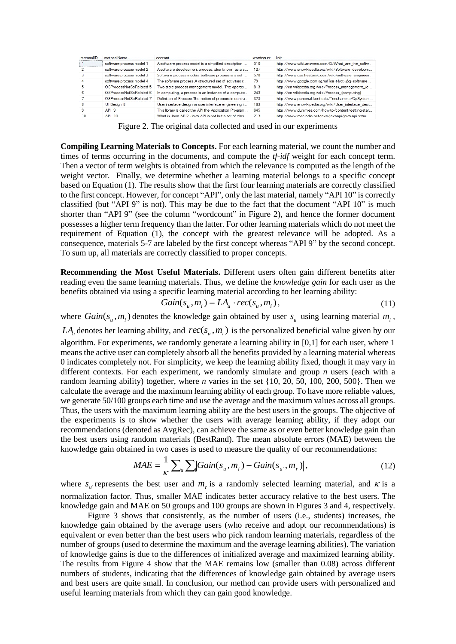| materialID | materialName             | content                                                 | wordcount | link                                                 |
|------------|--------------------------|---------------------------------------------------------|-----------|------------------------------------------------------|
|            | software process model 1 | A software process model is a simplified description    | 310       | http://www.wiki.answers.com/Q/What are the softw     |
|            | software process model 2 | A software development process, also known as a s       | 127       | http://www.en.wikipedia.org/wiki/Software_developm   |
|            | software process model 3 | Software process models. Software process is a set      | 570       | http://www.css.freetonik.com/wiki/software_engineeri |
| 4          | software process model 4 | The software process.A structured set of activities r   | 79        | http://www.google.com.sg/url?sa=t&rct=j&g=software   |
| 5          | OSProcessNotSoRelated 5  | Two-state process management model. The operati         | 813       | http://en.wikipedia.org/wiki/Process_management_(c   |
| հ          | OSProcessNotSoRelated 6  | In computing, a process is an instance of a compute     | 243       | http://en.wikipedia.org/wiki/Process_(computing)     |
|            | O.SProcessNotSoRelated 7 | Definition of Process. The notion of process is centra. | 373       | http://www.personal.kent.edu/~muhamma/OpSystem       |
| 8          | UI Design 8              | User interface design or user interface engineering i   | 183       | http://www.en.wikipedia.org/wiki/User_interface_desi |
| 9          | API <sub>9</sub>         | This library is called the API the Application Program  | 645       | http://www.dummies.com/how-to/content/getting-star   |
| 10         | API 10                   | What is Java API? Java API is not but a set of clas     | 213       | http://www.roseindia.net/java/javaapi/java-api.shtml |

Figure 2. The original data collected and used in our experiments

**Compiling Learning Materials to Concepts.** For each learning material, we count the number and times of terms occurring in the documents, and compute the *tf-idf* weight for each concept term. Then a vector of term weights is obtained from which the relevance is computed as the length of the weight vector. Finally, we determine whether a learning material belongs to a specific concept based on Equation (1). The results show that the first four learning materials are correctly classified to the first concept. However, for concept "API", only the last material, namely "API 10" is correctly classified (but "API 9" is not). This may be due to the fact that the document "API 10" is much shorter than "API 9" (see the column "wordcount" in Figure 2), and hence the former document possesses a higher term frequency than the latter. For other learning materials which do not meet the requirement of Equation (1), the concept with the greatest relevance will be adopted. As a consequence, materials 5-7 are labeled by the first concept whereas "API 9" by the second concept. To sum up, all materials are correctly classified to proper concepts.

**Recommending the Most Useful Materials.** Different users often gain different benefits after reading even the same learning materials. Thus, we define the *knowledge gain* for each user as the benefits obtained via using a specific learning material according to her learning ability:

$$
Gain(s_u, m_i) = LA_u \cdot rec(s_u, m_i), \qquad (11)
$$

where  $Gain(s_u, m_i)$  denotes the knowledge gain obtained by user  $s_u$  using learning material  $m_i$ ,

 $LA<sub>u</sub>$  denotes her learning ability, and  $rec(s<sub>u</sub>, m<sub>i</sub>)$  is the personalized beneficial value given by our algorithm. For experiments, we randomly generate a learning ability in [0,1] for each user, where 1 means the active user can completely absorb all the benefits provided by a learning material whereas 0 indicates completely not. For simplicity, we keep the learning ability fixed, though it may vary in different contexts. For each experiment, we randomly simulate and group *n* users (each with a random learning ability) together, where *n* varies in the set {10, 20, 50, 100, 200, 500}. Then we calculate the average and the maximum learning ability of each group. To have more reliable values, we generate 50/100 groups each time and use the average and the maximum values across all groups. Thus, the users with the maximum learning ability are the best users in the groups. The objective of the experiments is to show whether the users with average learning ability, if they adopt our recommendations (denoted as AvgRec), can achieve the same as or even better knowledge gain than the best users using random materials (BestRand). The mean absolute errors (MAE) between the knowledge gain obtained in two cases is used to measure the quality of our recommendations:

$$
MAE = \frac{1}{\kappa} \sum_{u} \sum_{i} |Gain(s_u, m_i) - Gain(s_u, m_r)|,
$$
\n(12)

where  $s_u$  represents the best user and  $m_r$  is a randomly selected learning material, and  $\kappa$  is a normalization factor. Thus, smaller MAE indicates better accuracy relative to the best users. The knowledge gain and MAE on 50 groups and 100 groups are shown in Figures 3 and 4, respectively.

Figure 3 shows that consistently, as the number of users (i.e., students) increases, the knowledge gain obtained by the average users (who receive and adopt our recommendations) is equivalent or even better than the best users who pick random learning materials, regardless of the number of groups (used to determine the maximum and the average learning abilities). The variation of knowledge gains is due to the differences of initialized average and maximized learning ability. The results from Figure 4 show that the MAE remains low (smaller than 0.08) across different numbers of students, indicating that the differences of knowledge gain obtained by average users and best users are quite small. In conclusion, our method can provide users with personalized and useful learning materials from which they can gain good knowledge.